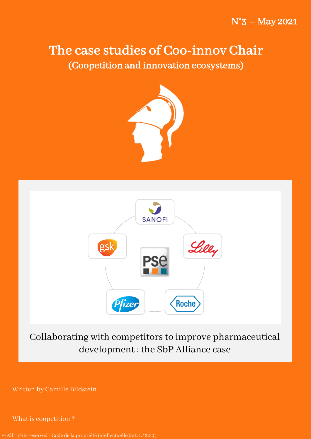# The case studies of Coo-innov Chair (Coopetition and innovation ecosystems)





Collaborating with competitors to improve pharmaceutical development : the SbP Alliance case

Written by Camille Bildstein

What is [coopetition](https://www.youtube.com/watch?v=GAVXyxQrh1o) ?

© All rightsreserved - Code de la propriété intellectuelle (art. L 122-4)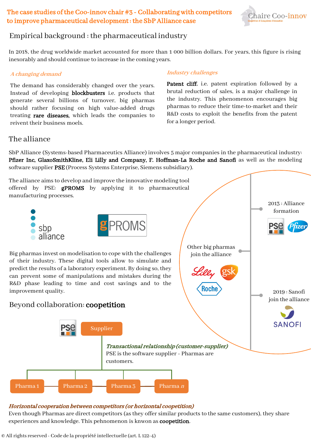## The case studies of the Coo-innov chair #3 - Collaboratingwith competitors to improve pharmaceutical development : the SbP Alliance case



## Empirical background : the pharmaceutical industry

In 2018, the drug worldwide market accounted for more than 1 000 billion dollars. For years, this figure is rising inexorably and should continue to increase in the coming years.

### A changing demand

The demand has considerably changed over the years. Instead of developing blockbusters i.e. products that generate several billions of turnover, big pharmas should rather focusing on high value-added drugs treating rare diseases, which leads the companies to reivent their business moels.

### Industry challenges

Patent cliff, i.e. patent expiration followed by a brutal reduction of sales, is a major challenge in the industry. This phenomenon encourages big pharmas to reduce their time-to-market and their R&D costs to exploit the benefits from the patent for a longer period.

### The alliance

SbP Alliance (Systems-based Pharmaceutics Alliance) involves 5 major companies in the pharmaceutical industry: Pfizer Inc, GlaxoSmithKline, Eli Lilly and Company, F. Hoffman-La Roche and Sanofi as well as the modeling software supplier PSE (Process Systems Enterprise, Siemens subsidiary).



### Horizontal cooperation betweencompetitors(or horizontal coopetition)

Even though Pharmas are direct competitors (as they offer similar products to the same customers), they share experiences and knowledge. This pehnomenon is knwon as coopetition.

© All rightsreserved - Code de la propriété intellectuelle (art. L 122-4)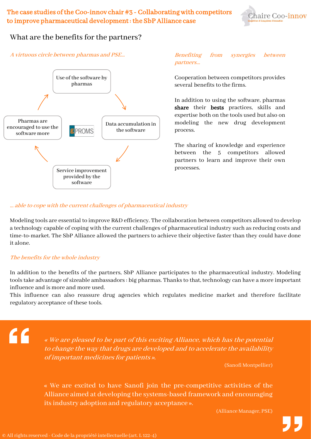

## What are the benefits for the partners?





# partners…

Cooperation between competitors provides several benefits to the firms.

In addition to using the software, pharmas share their bests practices, skills and expertise both on the tools used but also on modeling the new drug development process.

The sharing of knowledge and experience between the 5 competitors allowed partners to learn and improve their own processes.

#### … able to cope with the current challenges of pharmaceutical industry

Modeling tools are essential to improve R&D efficiency. The collaboration between competitors allowed to develop a technology capable of coping with the current challenges of pharmaceutical industry such as reducing costs and time-to-market. The SbP Alliance allowed the partners to achieve their objective faster than they could have done it alone.

### The benefits for the whole industry

In addition to the benefits of the partners, SbP Alliance participates to the pharmaceutical industry. Modeling tools take advantage of sizeable ambassadors : big pharmas. Thanks to that, technology can have a more important influence and is more and more used.

This influence can also reassure drug agencies which regulates medicine market and therefore facilitate regulatory acceptance of these tools.

"

« We are pleased to be part of this exciting Alliance, which has the potential to change the way that drugs are developed and to accelerate the availability of important medicines for patients ».

(Sanofi Montpellier)

« We are excited to have Sanofi join the pre-competitive activities of the Alliance aimed at developing the systems-based framework and encouraging its industry adoption and regulatory acceptance ».

(Alliance Manager, PSE)